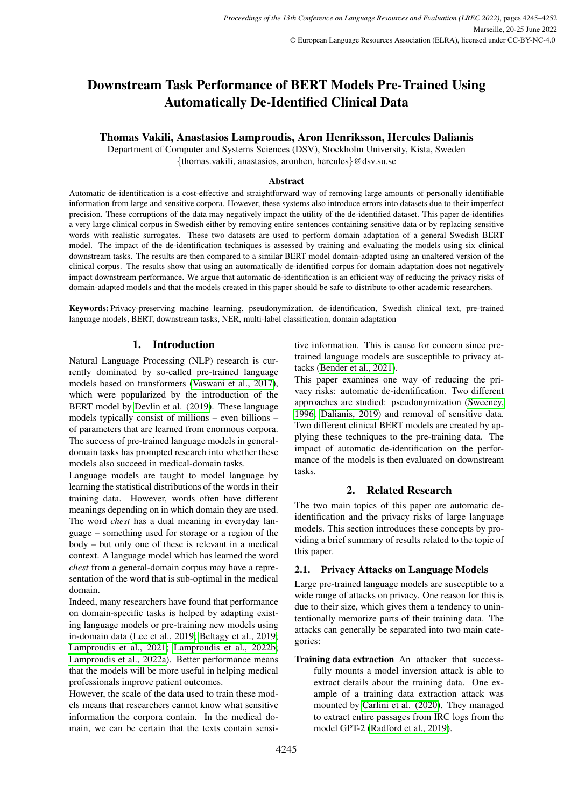# Downstream Task Performance of BERT Models Pre-Trained Using Automatically De-Identified Clinical Data

# Thomas Vakili, Anastasios Lamproudis, Aron Henriksson, Hercules Dalianis

Department of Computer and Systems Sciences (DSV), Stockholm University, Kista, Sweden {thomas.vakili, anastasios, aronhen, hercules}@dsv.su.se

### Abstract

Automatic de-identification is a cost-effective and straightforward way of removing large amounts of personally identifiable information from large and sensitive corpora. However, these systems also introduce errors into datasets due to their imperfect precision. These corruptions of the data may negatively impact the utility of the de-identified dataset. This paper de-identifies a very large clinical corpus in Swedish either by removing entire sentences containing sensitive data or by replacing sensitive words with realistic surrogates. These two datasets are used to perform domain adaptation of a general Swedish BERT model. The impact of the de-identification techniques is assessed by training and evaluating the models using six clinical downstream tasks. The results are then compared to a similar BERT model domain-adapted using an unaltered version of the clinical corpus. The results show that using an automatically de-identified corpus for domain adaptation does not negatively impact downstream performance. We argue that automatic de-identification is an efficient way of reducing the privacy risks of domain-adapted models and that the models created in this paper should be safe to distribute to other academic researchers.

Keywords: Privacy-preserving machine learning, pseudonymization, de-identification, Swedish clinical text, pre-trained language models, BERT, downstream tasks, NER, multi-label classification, domain adaptation

# 1. Introduction

Natural Language Processing (NLP) research is currently dominated by so-called pre-trained language models based on transformers [\(Vaswani et al., 2017\)](#page-7-0), which were popularized by the introduction of the BERT model by [Devlin et al. \(2019\)](#page-6-0). These language models typically consist of millions – even billions – of parameters that are learned from enormous corpora. The success of pre-trained language models in generaldomain tasks has prompted research into whether these models also succeed in medical-domain tasks.

Language models are taught to model language by learning the statistical distributions of the words in their training data. However, words often have different meanings depending on in which domain they are used. The word *chest* has a dual meaning in everyday language – something used for storage or a region of the body – but only one of these is relevant in a medical context. A language model which has learned the word *chest* from a general-domain corpus may have a representation of the word that is sub-optimal in the medical domain.

Indeed, many researchers have found that performance on domain-specific tasks is helped by adapting existing language models or pre-training new models using in-domain data [\(Lee et al., 2019;](#page-6-1) [Beltagy et al., 2019;](#page-5-0) [Lamproudis et al., 2021;](#page-6-2) [Lamproudis et al., 2022b;](#page-6-3) [Lamproudis et al., 2022a\)](#page-6-4). Better performance means that the models will be more useful in helping medical professionals improve patient outcomes.

However, the scale of the data used to train these models means that researchers cannot know what sensitive information the corpora contain. In the medical domain, we can be certain that the texts contain sensitive information. This is cause for concern since pretrained language models are susceptible to privacy attacks [\(Bender et al., 2021\)](#page-5-1).

This paper examines one way of reducing the privacy risks: automatic de-identification. Two different approaches are studied: pseudonymization [\(Sweeney,](#page-7-1) [1996;](#page-7-1) [Dalianis, 2019\)](#page-6-5) and removal of sensitive data. Two different clinical BERT models are created by applying these techniques to the pre-training data. The impact of automatic de-identification on the performance of the models is then evaluated on downstream tasks.

# 2. Related Research

The two main topics of this paper are automatic deidentification and the privacy risks of large language models. This section introduces these concepts by providing a brief summary of results related to the topic of this paper.

# <span id="page-0-0"></span>2.1. Privacy Attacks on Language Models

Large pre-trained language models are susceptible to a wide range of attacks on privacy. One reason for this is due to their size, which gives them a tendency to unintentionally memorize parts of their training data. The attacks can generally be separated into two main categories:

Training data extraction An attacker that successfully mounts a model inversion attack is able to extract details about the training data. One example of a training data extraction attack was mounted by [Carlini et al. \(2020\)](#page-6-6). They managed to extract entire passages from IRC logs from the model GPT-2 [\(Radford et al., 2019\)](#page-7-2).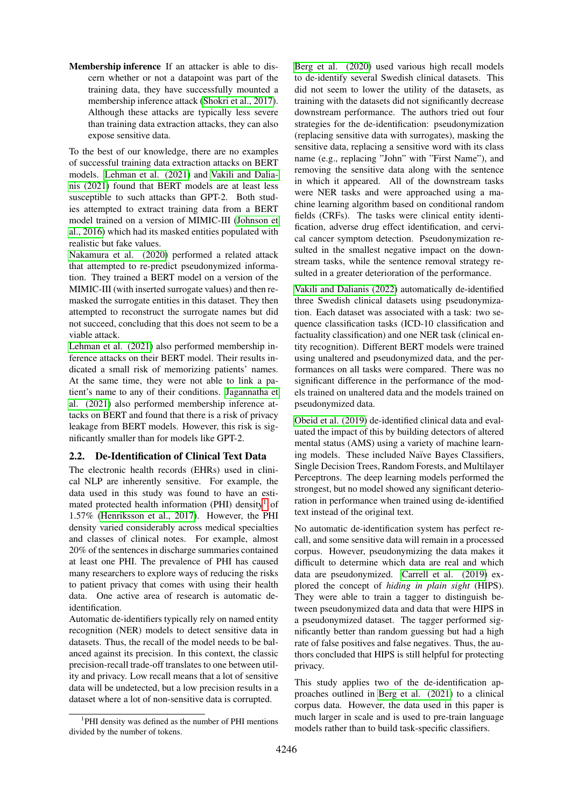Membership inference If an attacker is able to discern whether or not a datapoint was part of the training data, they have successfully mounted a membership inference attack [\(Shokri et al., 2017\)](#page-7-3). Although these attacks are typically less severe than training data extraction attacks, they can also expose sensitive data.

To the best of our knowledge, there are no examples of successful training data extraction attacks on BERT models. [Lehman et al. \(2021\)](#page-6-7) and [Vakili and Dalia](#page-7-4)[nis \(2021\)](#page-7-4) found that BERT models are at least less susceptible to such attacks than GPT-2. Both studies attempted to extract training data from a BERT model trained on a version of MIMIC-III [\(Johnson et](#page-6-8) [al., 2016\)](#page-6-8) which had its masked entities populated with realistic but fake values.

[Nakamura et al. \(2020\)](#page-7-5) performed a related attack that attempted to re-predict pseudonymized information. They trained a BERT model on a version of the MIMIC-III (with inserted surrogate values) and then remasked the surrogate entities in this dataset. They then attempted to reconstruct the surrogate names but did not succeed, concluding that this does not seem to be a viable attack.

[Lehman et al. \(2021\)](#page-6-7) also performed membership inference attacks on their BERT model. Their results indicated a small risk of memorizing patients' names. At the same time, they were not able to link a patient's name to any of their conditions. [Jagannatha et](#page-6-9) [al. \(2021\)](#page-6-9) also performed membership inference attacks on BERT and found that there is a risk of privacy leakage from BERT models. However, this risk is significantly smaller than for models like GPT-2.

# <span id="page-1-1"></span>2.2. De-Identification of Clinical Text Data

The electronic health records (EHRs) used in clinical NLP are inherently sensitive. For example, the data used in this study was found to have an esti-mated protected health information (PHI) density<sup>[1](#page-1-0)</sup> of 1.57% [\(Henriksson et al., 2017\)](#page-6-10). However, the PHI density varied considerably across medical specialties and classes of clinical notes. For example, almost 20% of the sentences in discharge summaries contained at least one PHI. The prevalence of PHI has caused many researchers to explore ways of reducing the risks to patient privacy that comes with using their health data. One active area of research is automatic deidentification.

Automatic de-identifiers typically rely on named entity recognition (NER) models to detect sensitive data in datasets. Thus, the recall of the model needs to be balanced against its precision. In this context, the classic precision-recall trade-off translates to one between utility and privacy. Low recall means that a lot of sensitive data will be undetected, but a low precision results in a dataset where a lot of non-sensitive data is corrupted.

[Berg et al. \(2020\)](#page-5-2) used various high recall models to de-identify several Swedish clinical datasets. This did not seem to lower the utility of the datasets, as training with the datasets did not significantly decrease downstream performance. The authors tried out four strategies for the de-identification: pseudonymization (replacing sensitive data with surrogates), masking the sensitive data, replacing a sensitive word with its class name (e.g., replacing "John" with "First Name"), and removing the sensitive data along with the sentence in which it appeared. All of the downstream tasks were NER tasks and were approached using a machine learning algorithm based on conditional random fields (CRFs). The tasks were clinical entity identification, adverse drug effect identification, and cervical cancer symptom detection. Pseudonymization resulted in the smallest negative impact on the downstream tasks, while the sentence removal strategy resulted in a greater deterioration of the performance.

[Vakili and Dalianis \(2022\)](#page-7-6) automatically de-identified three Swedish clinical datasets using pseudonymization. Each dataset was associated with a task: two sequence classification tasks (ICD-10 classification and factuality classification) and one NER task (clinical entity recognition). Different BERT models were trained using unaltered and pseudonymized data, and the performances on all tasks were compared. There was no significant difference in the performance of the models trained on unaltered data and the models trained on pseudonymized data.

[Obeid et al. \(2019\)](#page-7-7) de-identified clinical data and evaluated the impact of this by building detectors of altered mental status (AMS) using a variety of machine learning models. These included Naïve Bayes Classifiers, Single Decision Trees, Random Forests, and Multilayer Perceptrons. The deep learning models performed the strongest, but no model showed any significant deterioration in performance when trained using de-identified text instead of the original text.

No automatic de-identification system has perfect recall, and some sensitive data will remain in a processed corpus. However, pseudonymizing the data makes it difficult to determine which data are real and which data are pseudonymized. [Carrell et al. \(2019\)](#page-6-11) explored the concept of *hiding in plain sight* (HIPS). They were able to train a tagger to distinguish between pseudonymized data and data that were HIPS in a pseudonymized dataset. The tagger performed significantly better than random guessing but had a high rate of false positives and false negatives. Thus, the authors concluded that HIPS is still helpful for protecting privacy.

This study applies two of the de-identification approaches outlined in [Berg et al. \(2021\)](#page-5-3) to a clinical corpus data. However, the data used in this paper is much larger in scale and is used to pre-train language models rather than to build task-specific classifiers.

<span id="page-1-0"></span><sup>&</sup>lt;sup>1</sup>PHI density was defined as the number of PHI mentions divided by the number of tokens.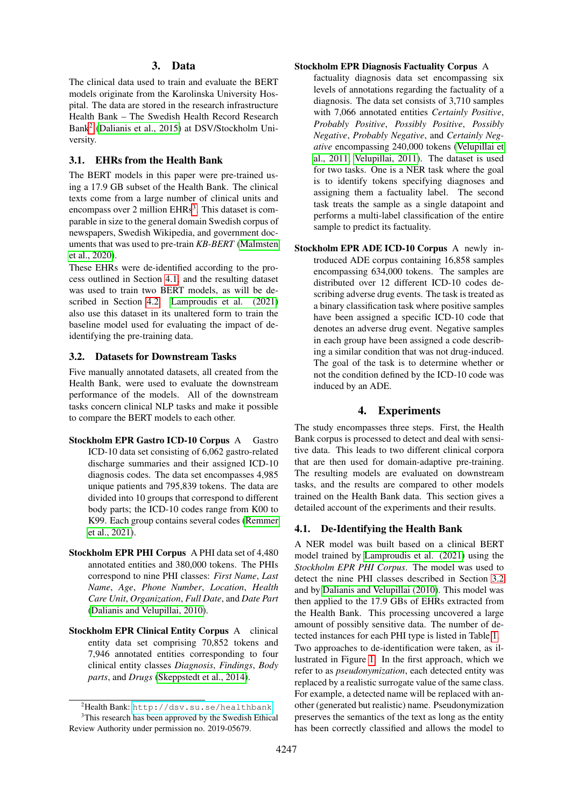### 3. Data

The clinical data used to train and evaluate the BERT models originate from the Karolinska University Hospital. The data are stored in the research infrastructure Health Bank – The Swedish Health Record Research Bank[2](#page-2-0) [\(Dalianis et al., 2015\)](#page-6-12) at DSV/Stockholm University.

#### 3.1. EHRs from the Health Bank

The BERT models in this paper were pre-trained using a 17.9 GB subset of the Health Bank. The clinical texts come from a large number of clinical units and encompass over 2 million  $EHRs<sup>3</sup>$  $EHRs<sup>3</sup>$  $EHRs<sup>3</sup>$ . This dataset is comparable in size to the general domain Swedish corpus of newspapers, Swedish Wikipedia, and government documents that was used to pre-train *KB-BERT* [\(Malmsten](#page-6-13) [et al., 2020\)](#page-6-13).

These EHRs were de-identified according to the process outlined in Section [4.1,](#page-2-2) and the resulting dataset was used to train two BERT models, as will be described in Section [4.2.](#page-3-0) [Lamproudis et al. \(2021\)](#page-6-2) also use this dataset in its unaltered form to train the baseline model used for evaluating the impact of deidentifying the pre-training data.

#### <span id="page-2-3"></span>3.2. Datasets for Downstream Tasks

Five manually annotated datasets, all created from the Health Bank, were used to evaluate the downstream performance of the models. All of the downstream tasks concern clinical NLP tasks and make it possible to compare the BERT models to each other.

- Stockholm EPR Gastro ICD-10 Corpus A Gastro ICD-10 data set consisting of 6,062 gastro-related discharge summaries and their assigned ICD-10 diagnosis codes. The data set encompasses 4,985 unique patients and 795,839 tokens. The data are divided into 10 groups that correspond to different body parts; the ICD-10 codes range from K00 to K99. Each group contains several codes [\(Remmer](#page-7-8) [et al., 2021\)](#page-7-8).
- Stockholm EPR PHI Corpus A PHI data set of 4,480 annotated entities and 380,000 tokens. The PHIs correspond to nine PHI classes: *First Name*, *Last Name*, *Age*, *Phone Number*, *Location*, *Health Care Unit*, *Organization*, *Full Date*, and *Date Part* [\(Dalianis and Velupillai, 2010\)](#page-6-14).
- Stockholm EPR Clinical Entity Corpus A clinical entity data set comprising 70,852 tokens and 7,946 annotated entities corresponding to four clinical entity classes *Diagnosis*, *Findings*, *Body parts*, and *Drugs* [\(Skeppstedt et al., 2014\)](#page-7-9).

#### Stockholm EPR Diagnosis Factuality Corpus A

factuality diagnosis data set encompassing six levels of annotations regarding the factuality of a diagnosis. The data set consists of 3,710 samples with 7,066 annotated entities *Certainly Positive*, *Probably Positive*, *Possibly Positive*, *Possibly Negative*, *Probably Negative*, and *Certainly Negative* encompassing 240,000 tokens [\(Velupillai et](#page-7-10) [al., 2011;](#page-7-10) [Velupillai, 2011\)](#page-7-11). The dataset is used for two tasks. One is a NER task where the goal is to identify tokens specifying diagnoses and assigning them a factuality label. The second task treats the sample as a single datapoint and performs a multi-label classification of the entire sample to predict its factuality.

Stockholm EPR ADE ICD-10 Corpus A newly introduced ADE corpus containing 16,858 samples encompassing 634,000 tokens. The samples are distributed over 12 different ICD-10 codes describing adverse drug events. The task is treated as a binary classification task where positive samples have been assigned a specific ICD-10 code that denotes an adverse drug event. Negative samples in each group have been assigned a code describing a similar condition that was not drug-induced. The goal of the task is to determine whether or not the condition defined by the ICD-10 code was induced by an ADE.

# 4. Experiments

The study encompasses three steps. First, the Health Bank corpus is processed to detect and deal with sensitive data. This leads to two different clinical corpora that are then used for domain-adaptive pre-training. The resulting models are evaluated on downstream tasks, and the results are compared to other models trained on the Health Bank data. This section gives a detailed account of the experiments and their results.

## <span id="page-2-2"></span>4.1. De-Identifying the Health Bank

A NER model was built based on a clinical BERT model trained by [Lamproudis et al. \(2021\)](#page-6-2) using the *Stockholm EPR PHI Corpus*. The model was used to detect the nine PHI classes described in Section [3.2](#page-2-3) and by [Dalianis and Velupillai \(2010\)](#page-6-14). This model was then applied to the 17.9 GBs of EHRs extracted from the Health Bank. This processing uncovered a large amount of possibly sensitive data. The number of detected instances for each PHI type is listed in Table [1.](#page-3-1) Two approaches to de-identification were taken, as illustrated in Figure [1.](#page-3-2) In the first approach, which we refer to as *pseudonymization*, each detected entity was replaced by a realistic surrogate value of the same class. For example, a detected name will be replaced with another (generated but realistic) name. Pseudonymization preserves the semantics of the text as long as the entity has been correctly classified and allows the model to

<span id="page-2-1"></span><span id="page-2-0"></span><sup>2</sup>Health Bank: <http://dsv.su.se/healthbank>

<sup>&</sup>lt;sup>3</sup>This research has been approved by the Swedish Ethical Review Authority under permission no. 2019-05679.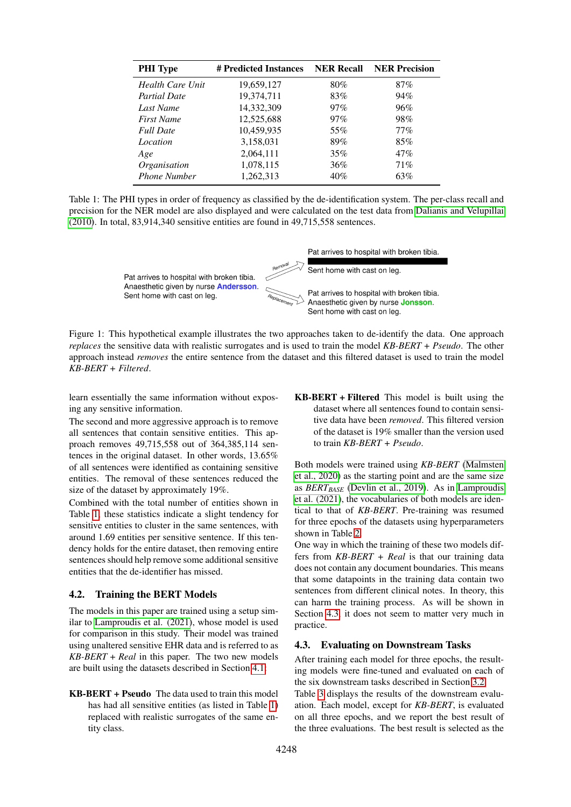| <b>PHI</b> Type     | # Predicted Instances | <b>NER Recall</b> | <b>NER Precision</b> |  |
|---------------------|-----------------------|-------------------|----------------------|--|
| Health Care Unit    | 19,659,127            | 80%               | 87%                  |  |
| <b>Partial Date</b> | 19,374,711            | 83%               | 94%                  |  |
| Last Name           | 14,332,309            | 97%               | 96%                  |  |
| <b>First Name</b>   | 12,525,688            | $97\%$            | 98%                  |  |
| <b>Full Date</b>    | 10,459,935            | 55%               | $77\%$               |  |
| Location            | 3,158,031             | 89%               | 85%                  |  |
| Age                 | 2,064,111             | 35%               | 47%                  |  |
| Organisation        | 1,078,115             | 36%               | 71%                  |  |
| <b>Phone Number</b> | 1,262,313             | 40%               | 63%                  |  |

<span id="page-3-1"></span>Table 1: The PHI types in order of frequency as classified by the de-identification system. The per-class recall and precision for the NER model are also displayed and were calculated on the test data from [Dalianis and Velupillai](#page-6-14) [\(2010\)](#page-6-14). In total, 83,914,340 sensitive entities are found in 49,715,558 sentences.



<span id="page-3-2"></span>Figure 1: This hypothetical example illustrates the two approaches taken to de-identify the data. One approach *replaces* the sensitive data with realistic surrogates and is used to train the model *KB-BERT + Pseudo*. The other approach instead *removes* the entire sentence from the dataset and this filtered dataset is used to train the model *KB-BERT + Filtered*.

learn essentially the same information without exposing any sensitive information.

The second and more aggressive approach is to remove all sentences that contain sensitive entities. This approach removes 49,715,558 out of 364,385,114 sentences in the original dataset. In other words, 13.65% of all sentences were identified as containing sensitive entities. The removal of these sentences reduced the size of the dataset by approximately 19%.

Combined with the total number of entities shown in Table [1,](#page-3-1) these statistics indicate a slight tendency for sensitive entities to cluster in the same sentences, with around 1.69 entities per sensitive sentence. If this tendency holds for the entire dataset, then removing entire sentences should help remove some additional sensitive entities that the de-identifier has missed.

## <span id="page-3-0"></span>4.2. Training the BERT Models

The models in this paper are trained using a setup similar to [Lamproudis et al. \(2021\)](#page-6-2), whose model is used for comparison in this study. Their model was trained using unaltered sensitive EHR data and is referred to as *KB-BERT + Real* in this paper. The two new models are built using the datasets described in Section [4.1:](#page-2-2)

KB-BERT + Pseudo The data used to train this model has had all sensitive entities (as listed in Table [1\)](#page-3-1) replaced with realistic surrogates of the same entity class.

KB-BERT + Filtered This model is built using the dataset where all sentences found to contain sensitive data have been *removed*. This filtered version of the dataset is 19% smaller than the version used to train *KB-BERT + Pseudo*.

Both models were trained using *KB-BERT* [\(Malmsten](#page-6-13) [et al., 2020\)](#page-6-13) as the starting point and are the same size as *BERTBASE* [\(Devlin et al., 2019\)](#page-6-0). As in [Lamproudis](#page-6-2) [et al. \(2021\)](#page-6-2), the vocabularies of both models are identical to that of *KB-BERT*. Pre-training was resumed for three epochs of the datasets using hyperparameters shown in Table [2.](#page-4-0)

One way in which the training of these two models differs from *KB-BERT + Real* is that our training data does not contain any document boundaries. This means that some datapoints in the training data contain two sentences from different clinical notes. In theory, this can harm the training process. As will be shown in Section [4.3,](#page-3-3) it does not seem to matter very much in practice.

# <span id="page-3-3"></span>4.3. Evaluating on Downstream Tasks

After training each model for three epochs, the resulting models were fine-tuned and evaluated on each of the six downstream tasks described in Section [3.2.](#page-2-3)

Table [3](#page-5-4) displays the results of the downstream evaluation. Each model, except for *KB-BERT*, is evaluated on all three epochs, and we report the best result of the three evaluations. The best result is selected as the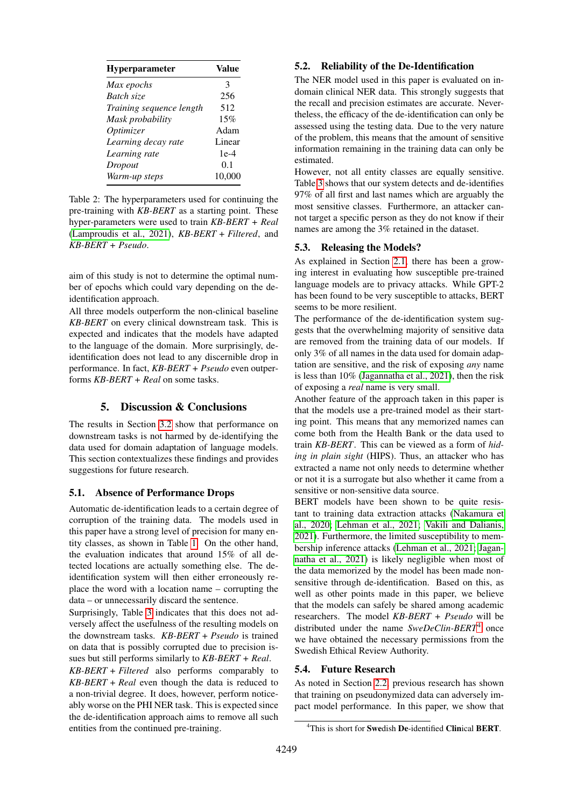| <b>Hyperparameter</b>    | Value  |  |
|--------------------------|--------|--|
| Max epochs               | 3      |  |
| Batch size               | 256    |  |
| Training sequence length | 512    |  |
| Mask probability         | 15%    |  |
| Optimizer                | Adam   |  |
| Learning decay rate      | Linear |  |
| Learning rate            | $1e-4$ |  |
| Dropout                  | 0.1    |  |
| Warm-up steps            | 10,000 |  |

<span id="page-4-0"></span>Table 2: The hyperparameters used for continuing the pre-training with *KB-BERT* as a starting point. These hyper-parameters were used to train *KB-BERT + Real* [\(Lamproudis et al., 2021\)](#page-6-2), *KB-BERT + Filtered*, and *KB-BERT + Pseudo*.

aim of this study is not to determine the optimal number of epochs which could vary depending on the deidentification approach.

All three models outperform the non-clinical baseline *KB-BERT* on every clinical downstream task. This is expected and indicates that the models have adapted to the language of the domain. More surprisingly, deidentification does not lead to any discernible drop in performance. In fact, *KB-BERT + Pseudo* even outperforms *KB-BERT + Real* on some tasks.

# 5. Discussion & Conclusions

The results in Section [3.2](#page-2-3) show that performance on downstream tasks is not harmed by de-identifying the data used for domain adaptation of language models. This section contextualizes these findings and provides suggestions for future research.

## 5.1. Absence of Performance Drops

Automatic de-identification leads to a certain degree of corruption of the training data. The models used in this paper have a strong level of precision for many entity classes, as shown in Table [1.](#page-3-1) On the other hand, the evaluation indicates that around 15% of all detected locations are actually something else. The deidentification system will then either erroneously replace the word with a location name – corrupting the data – or unnecessarily discard the sentence.

Surprisingly, Table [3](#page-5-4) indicates that this does not adversely affect the usefulness of the resulting models on the downstream tasks. *KB-BERT + Pseudo* is trained on data that is possibly corrupted due to precision issues but still performs similarly to *KB-BERT + Real*.

*KB-BERT + Filtered* also performs comparably to *KB-BERT + Real* even though the data is reduced to a non-trivial degree. It does, however, perform noticeably worse on the PHI NER task. This is expected since the de-identification approach aims to remove all such entities from the continued pre-training.

#### 5.2. Reliability of the De-Identification

The NER model used in this paper is evaluated on indomain clinical NER data. This strongly suggests that the recall and precision estimates are accurate. Nevertheless, the efficacy of the de-identification can only be assessed using the testing data. Due to the very nature of the problem, this means that the amount of sensitive information remaining in the training data can only be estimated.

However, not all entity classes are equally sensitive. Table [3](#page-5-4) shows that our system detects and de-identifies 97% of all first and last names which are arguably the most sensitive classes. Furthermore, an attacker cannot target a specific person as they do not know if their names are among the 3% retained in the dataset.

# 5.3. Releasing the Models?

As explained in Section [2.1,](#page-0-0) there has been a growing interest in evaluating how susceptible pre-trained language models are to privacy attacks. While GPT-2 has been found to be very susceptible to attacks, BERT seems to be more resilient.

The performance of the de-identification system suggests that the overwhelming majority of sensitive data are removed from the training data of our models. If only 3% of all names in the data used for domain adaptation are sensitive, and the risk of exposing *any* name is less than 10% [\(Jagannatha et al., 2021\)](#page-6-9), then the risk of exposing a *real* name is very small.

Another feature of the approach taken in this paper is that the models use a pre-trained model as their starting point. This means that any memorized names can come both from the Health Bank or the data used to train *KB-BERT*. This can be viewed as a form of *hiding in plain sight* (HIPS). Thus, an attacker who has extracted a name not only needs to determine whether or not it is a surrogate but also whether it came from a sensitive or non-sensitive data source.

BERT models have been shown to be quite resistant to training data extraction attacks [\(Nakamura et](#page-7-5) [al., 2020;](#page-7-5) [Lehman et al., 2021;](#page-6-7) [Vakili and Dalianis,](#page-7-4) [2021\)](#page-7-4). Furthermore, the limited susceptibility to membership inference attacks [\(Lehman et al., 2021;](#page-6-7) [Jagan](#page-6-9)[natha et al., 2021\)](#page-6-9) is likely negligible when most of the data memorized by the model has been made nonsensitive through de-identification. Based on this, as well as other points made in this paper, we believe that the models can safely be shared among academic researchers. The model *KB-BERT + Pseudo* will be distributed under the name *SweDeClin-BERT*[4](#page-4-1) once we have obtained the necessary permissions from the Swedish Ethical Review Authority.

#### 5.4. Future Research

As noted in Section [2.2,](#page-1-1) previous research has shown that training on pseudonymized data can adversely impact model performance. In this paper, we show that

<span id="page-4-1"></span><sup>&</sup>lt;sup>4</sup>This is short for Swedish De-identified Clinical BERT.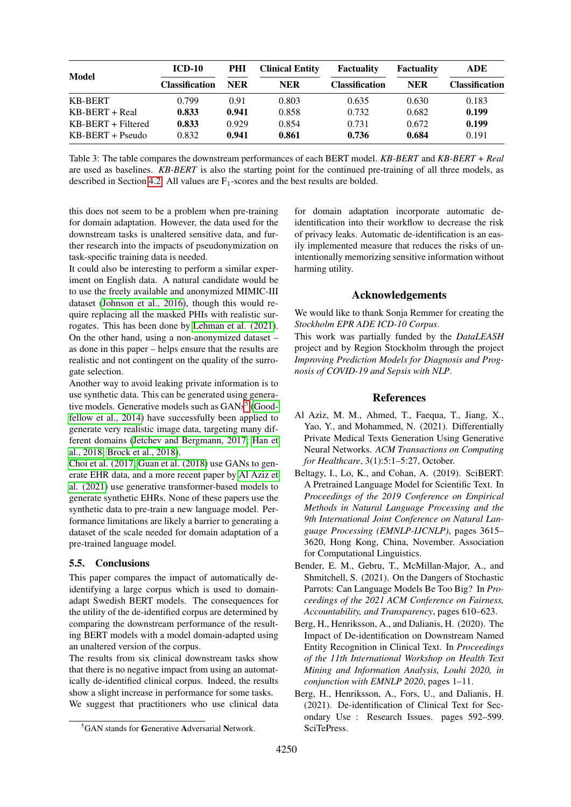| <b>Model</b>         | <b>ICD-10</b>         | PHI        | <b>Clinical Entity</b> | <b>Factuality</b>     | <b>Factuality</b> | ADE            |
|----------------------|-----------------------|------------|------------------------|-----------------------|-------------------|----------------|
|                      | <b>Classification</b> | <b>NER</b> | NER                    | <b>Classification</b> | <b>NER</b>        | Classification |
| <b>KB-BERT</b>       | 0.799                 | 0.91       | 0.803                  | 0.635                 | 0.630             | 0.183          |
| $KB-BERT + Real$     | 0.833                 | 0.941      | 0.858                  | 0.732                 | 0.682             | 0.199          |
| $KB-BERT + Filtered$ | 0.833                 | 0.929      | 0.854                  | 0.731                 | 0.672             | 0.199          |
| $KB-BERT + Pseudo$   | 0.832                 | 0.941      | 0.861                  | 0.736                 | 0.684             | 0.191          |

<span id="page-5-4"></span>Table 3: The table compares the downstream performances of each BERT model. *KB-BERT* and *KB-BERT + Real* are used as baselines. *KB-BERT* is also the starting point for the continued pre-training of all three models, as described in Section [4.2.](#page-3-0) All values are  $F_1$ -scores and the best results are bolded.

this does not seem to be a problem when pre-training for domain adaptation. However, the data used for the downstream tasks is unaltered sensitive data, and further research into the impacts of pseudonymization on task-specific training data is needed.

It could also be interesting to perform a similar experiment on English data. A natural candidate would be to use the freely available and anonymized MIMIC-III dataset [\(Johnson et al., 2016\)](#page-6-8), though this would require replacing all the masked PHIs with realistic surrogates. This has been done by [Lehman et al. \(2021\)](#page-6-7). On the other hand, using a non-anonymized dataset – as done in this paper – helps ensure that the results are realistic and not contingent on the quality of the surrogate selection.

Another way to avoid leaking private information is to use synthetic data. This can be generated using genera-tive models. Generative models such as GANs<sup>[5](#page-5-5)</sup> [\(Good](#page-6-15)[fellow et al., 2014\)](#page-6-15) have successfully been applied to generate very realistic image data, targeting many different domains [\(Jetchev and Bergmann, 2017;](#page-6-16) [Han et](#page-6-17) [al., 2018;](#page-6-17) [Brock et al., 2018\)](#page-6-18).

[Choi et al. \(2017;](#page-6-19) [Guan et al. \(2018\)](#page-6-20) use GANs to generate EHR data, and a more recent paper by [Al Aziz et](#page-5-6) [al. \(2021\)](#page-5-6) use generative transformer-based models to generate synthetic EHRs. None of these papers use the synthetic data to pre-train a new language model. Performance limitations are likely a barrier to generating a dataset of the scale needed for domain adaptation of a pre-trained language model.

# 5.5. Conclusions

This paper compares the impact of automatically deidentifying a large corpus which is used to domainadapt Swedish BERT models. The consequences for the utility of the de-identified corpus are determined by comparing the downstream performance of the resulting BERT models with a model domain-adapted using an unaltered version of the corpus.

The results from six clinical downstream tasks show that there is no negative impact from using an automatically de-identified clinical corpus. Indeed, the results show a slight increase in performance for some tasks. We suggest that practitioners who use clinical data for domain adaptation incorporate automatic deidentification into their workflow to decrease the risk of privacy leaks. Automatic de-identification is an easily implemented measure that reduces the risks of unintentionally memorizing sensitive information without harming utility.

### Acknowledgements

We would like to thank Sonja Remmer for creating the *Stockholm EPR ADE ICD-10 Corpus*.

This work was partially funded by the *DataLEASH* project and by Region Stockholm through the project *Improving Prediction Models for Diagnosis and Prognosis of COVID-19 and Sepsis with NLP*.

#### References

- <span id="page-5-6"></span>Al Aziz, M. M., Ahmed, T., Faequa, T., Jiang, X., Yao, Y., and Mohammed, N. (2021). Differentially Private Medical Texts Generation Using Generative Neural Networks. *ACM Transactions on Computing for Healthcare*, 3(1):5:1–5:27, October.
- <span id="page-5-0"></span>Beltagy, I., Lo, K., and Cohan, A. (2019). SciBERT: A Pretrained Language Model for Scientific Text. In *Proceedings of the 2019 Conference on Empirical Methods in Natural Language Processing and the 9th International Joint Conference on Natural Language Processing (EMNLP-IJCNLP)*, pages 3615– 3620, Hong Kong, China, November. Association for Computational Linguistics.
- <span id="page-5-1"></span>Bender, E. M., Gebru, T., McMillan-Major, A., and Shmitchell, S. (2021). On the Dangers of Stochastic Parrots: Can Language Models Be Too Big? In *Proceedings of the 2021 ACM Conference on Fairness, Accountability, and Transparency*, pages 610–623.
- <span id="page-5-2"></span>Berg, H., Henriksson, A., and Dalianis, H. (2020). The Impact of De-identification on Downstream Named Entity Recognition in Clinical Text. In *Proceedings of the 11th International Workshop on Health Text Mining and Information Analysis, Louhi 2020, in conjunction with EMNLP 2020*, pages 1–11.
- <span id="page-5-3"></span>Berg, H., Henriksson, A., Fors, U., and Dalianis, H. (2021). De-identification of Clinical Text for Secondary Use : Research Issues. pages 592–599. SciTePress.

<span id="page-5-5"></span><sup>&</sup>lt;sup>5</sup>GAN stands for Generative Adversarial Network.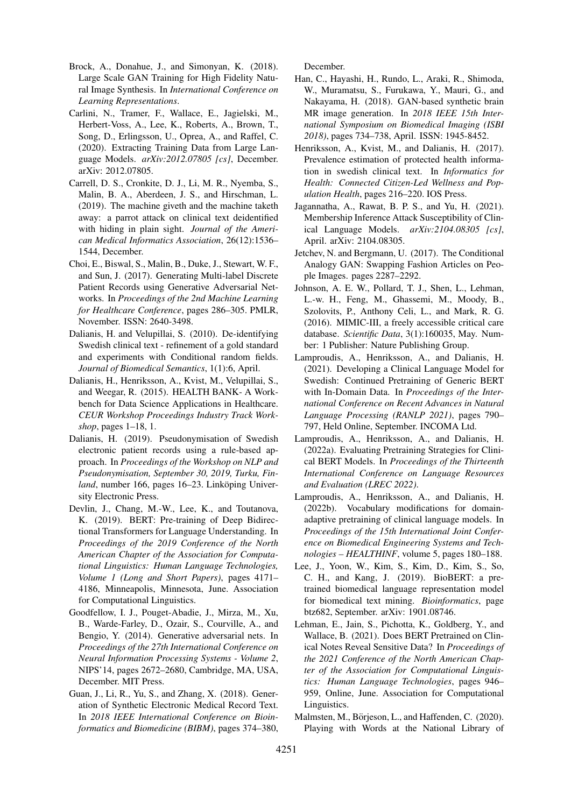- <span id="page-6-18"></span>Brock, A., Donahue, J., and Simonyan, K. (2018). Large Scale GAN Training for High Fidelity Natural Image Synthesis. In *International Conference on Learning Representations*.
- <span id="page-6-6"></span>Carlini, N., Tramer, F., Wallace, E., Jagielski, M., Herbert-Voss, A., Lee, K., Roberts, A., Brown, T., Song, D., Erlingsson, U., Oprea, A., and Raffel, C. (2020). Extracting Training Data from Large Language Models. *arXiv:2012.07805 [cs]*, December. arXiv: 2012.07805.
- <span id="page-6-11"></span>Carrell, D. S., Cronkite, D. J., Li, M. R., Nyemba, S., Malin, B. A., Aberdeen, J. S., and Hirschman, L. (2019). The machine giveth and the machine taketh away: a parrot attack on clinical text deidentified with hiding in plain sight. *Journal of the American Medical Informatics Association*, 26(12):1536– 1544, December.
- <span id="page-6-19"></span>Choi, E., Biswal, S., Malin, B., Duke, J., Stewart, W. F., and Sun, J. (2017). Generating Multi-label Discrete Patient Records using Generative Adversarial Networks. In *Proceedings of the 2nd Machine Learning for Healthcare Conference*, pages 286–305. PMLR, November. ISSN: 2640-3498.
- <span id="page-6-14"></span>Dalianis, H. and Velupillai, S. (2010). De-identifying Swedish clinical text - refinement of a gold standard and experiments with Conditional random fields. *Journal of Biomedical Semantics*, 1(1):6, April.
- <span id="page-6-12"></span>Dalianis, H., Henriksson, A., Kvist, M., Velupillai, S., and Weegar, R. (2015). HEALTH BANK- A Workbench for Data Science Applications in Healthcare. *CEUR Workshop Proceedings Industry Track Workshop*, pages 1–18, 1.
- <span id="page-6-5"></span>Dalianis, H. (2019). Pseudonymisation of Swedish electronic patient records using a rule-based approach. In *Proceedings of the Workshop on NLP and Pseudonymisation, September 30, 2019, Turku, Fin*land, number 166, pages 16–23. Linköping University Electronic Press.
- <span id="page-6-0"></span>Devlin, J., Chang, M.-W., Lee, K., and Toutanova, K. (2019). BERT: Pre-training of Deep Bidirectional Transformers for Language Understanding. In *Proceedings of the 2019 Conference of the North American Chapter of the Association for Computational Linguistics: Human Language Technologies, Volume 1 (Long and Short Papers)*, pages 4171– 4186, Minneapolis, Minnesota, June. Association for Computational Linguistics.
- <span id="page-6-15"></span>Goodfellow, I. J., Pouget-Abadie, J., Mirza, M., Xu, B., Warde-Farley, D., Ozair, S., Courville, A., and Bengio, Y. (2014). Generative adversarial nets. In *Proceedings of the 27th International Conference on Neural Information Processing Systems - Volume 2*, NIPS'14, pages 2672–2680, Cambridge, MA, USA, December. MIT Press.
- <span id="page-6-20"></span>Guan, J., Li, R., Yu, S., and Zhang, X. (2018). Generation of Synthetic Electronic Medical Record Text. In *2018 IEEE International Conference on Bioinformatics and Biomedicine (BIBM)*, pages 374–380,

December.

- <span id="page-6-17"></span>Han, C., Hayashi, H., Rundo, L., Araki, R., Shimoda, W., Muramatsu, S., Furukawa, Y., Mauri, G., and Nakayama, H. (2018). GAN-based synthetic brain MR image generation. In *2018 IEEE 15th International Symposium on Biomedical Imaging (ISBI 2018)*, pages 734–738, April. ISSN: 1945-8452.
- <span id="page-6-10"></span>Henriksson, A., Kvist, M., and Dalianis, H. (2017). Prevalence estimation of protected health information in swedish clinical text. In *Informatics for Health: Connected Citizen-Led Wellness and Population Health*, pages 216–220. IOS Press.
- <span id="page-6-9"></span>Jagannatha, A., Rawat, B. P. S., and Yu, H. (2021). Membership Inference Attack Susceptibility of Clinical Language Models. *arXiv:2104.08305 [cs]*, April. arXiv: 2104.08305.
- <span id="page-6-16"></span>Jetchev, N. and Bergmann, U. (2017). The Conditional Analogy GAN: Swapping Fashion Articles on People Images. pages 2287–2292.
- <span id="page-6-8"></span>Johnson, A. E. W., Pollard, T. J., Shen, L., Lehman, L.-w. H., Feng, M., Ghassemi, M., Moody, B., Szolovits, P., Anthony Celi, L., and Mark, R. G. (2016). MIMIC-III, a freely accessible critical care database. *Scientific Data*, 3(1):160035, May. Number: 1 Publisher: Nature Publishing Group.
- <span id="page-6-2"></span>Lamproudis, A., Henriksson, A., and Dalianis, H. (2021). Developing a Clinical Language Model for Swedish: Continued Pretraining of Generic BERT with In-Domain Data. In *Proceedings of the International Conference on Recent Advances in Natural Language Processing (RANLP 2021)*, pages 790– 797, Held Online, September. INCOMA Ltd.
- <span id="page-6-4"></span>Lamproudis, A., Henriksson, A., and Dalianis, H. (2022a). Evaluating Pretraining Strategies for Clinical BERT Models. In *Proceedings of the Thirteenth International Conference on Language Resources and Evaluation (LREC 2022)*.
- <span id="page-6-3"></span>Lamproudis, A., Henriksson, A., and Dalianis, H. (2022b). Vocabulary modifications for domainadaptive pretraining of clinical language models. In *Proceedings of the 15th International Joint Conference on Biomedical Engineering Systems and Technologies – HEALTHINF*, volume 5, pages 180–188.
- <span id="page-6-1"></span>Lee, J., Yoon, W., Kim, S., Kim, D., Kim, S., So, C. H., and Kang, J. (2019). BioBERT: a pretrained biomedical language representation model for biomedical text mining. *Bioinformatics*, page btz682, September. arXiv: 1901.08746.
- <span id="page-6-7"></span>Lehman, E., Jain, S., Pichotta, K., Goldberg, Y., and Wallace, B. (2021). Does BERT Pretrained on Clinical Notes Reveal Sensitive Data? In *Proceedings of the 2021 Conference of the North American Chapter of the Association for Computational Linguistics: Human Language Technologies*, pages 946– 959, Online, June. Association for Computational Linguistics.
- <span id="page-6-13"></span>Malmsten, M., Börjeson, L., and Haffenden, C. (2020). Playing with Words at the National Library of